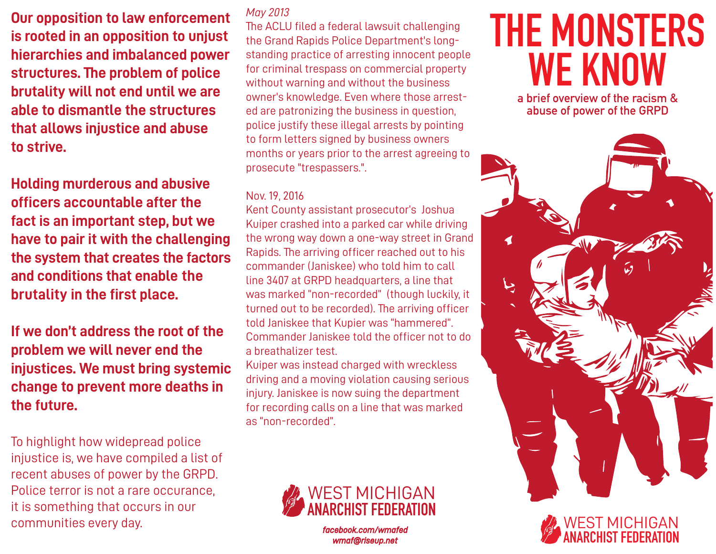**Our opposition to law enforcement is rooted in an opposition to unjust hierarchies and imbalanced power structures. The problem of police brutality will not end until we are able to dismantle the structures that allows injustice and abuse to strive.** 

**Holding murderous and abusive officers accountable after the fact is an important step, but we have to pair it with the challenging the system that creates the factors and conditions that enable the brutality in the first place.**

**If we don't address the root of the problem we will never end the injustices. We must bring systemic change to prevent more deaths in the future.** 

To highlight how widepread police injustice is, we have compiled a list of recent abuses of power by the GRPD. Police terror is not a rare occurance, it is something that occurs in our communities every day. *facebook.com/wmafed*

#### *May 2013*

The ACLU filed a federal lawsuit challenging the Grand Rapids Police Department's longstanding practice of arresting innocent people for criminal trespass on commercial property without warning and without the business owner's knowledge. Even where those arrested are patronizing the business in question, police justify these illegal arrests by pointing to form letters signed by business owners months or years prior to the arrest agreeing to prosecute "trespassers.".

#### Nov. 19, 2016

Kent County assistant prosecutor's Joshua Kuiper crashed into a parked car while driving the wrong way down a one-way street in Grand Rapids. The arriving officer reached out to his commander (Janiskee) who told him to call line 3407 at GRPD headquarters, a line that was marked "non-recorded" (though luckily, it turned out to be recorded). The arriving officer told Janiskee that Kupier was "hammered". Commander Janiskee told the officer not to do a breathalizer test.

Kuiper was instead charged with wreckless driving and a moving violation causing serious injury. Janiskee is now suing the department for recording calls on a line that was marked as "non-recorded".



*wmaf@riseup.net*

# **THE MONSTERS WE KNOW**

**a brief overview of the racism & abuse of power of the GRPD**